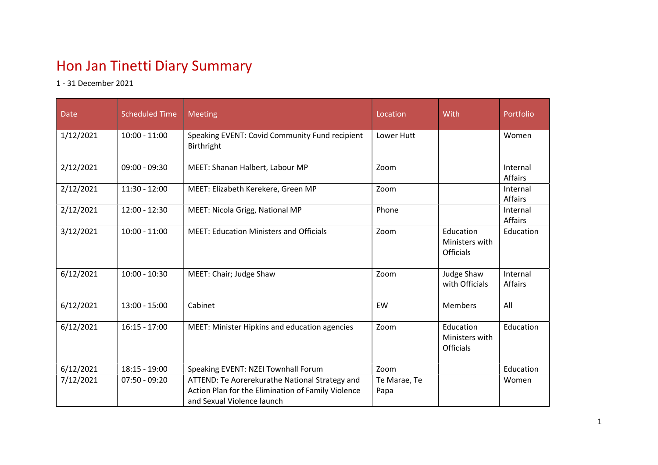## Hon Jan Tinetti Diary Summary

1 - 31 December 2021

| Date      | <b>Scheduled Time</b> | <b>Meeting</b>                                                                                                                     | Location             | With                                            | Portfolio           |
|-----------|-----------------------|------------------------------------------------------------------------------------------------------------------------------------|----------------------|-------------------------------------------------|---------------------|
| 1/12/2021 | $10:00 - 11:00$       | Speaking EVENT: Covid Community Fund recipient<br>Birthright                                                                       | Lower Hutt           |                                                 | Women               |
| 2/12/2021 | $09:00 - 09:30$       | MEET: Shanan Halbert, Labour MP                                                                                                    | Zoom                 |                                                 | Internal<br>Affairs |
| 2/12/2021 | $11:30 - 12:00$       | MEET: Elizabeth Kerekere, Green MP                                                                                                 | Zoom                 |                                                 | Internal<br>Affairs |
| 2/12/2021 | $12:00 - 12:30$       | MEET: Nicola Grigg, National MP                                                                                                    | Phone                |                                                 | Internal<br>Affairs |
| 3/12/2021 | $10:00 - 11:00$       | <b>MEET: Education Ministers and Officials</b>                                                                                     | Zoom                 | Education<br>Ministers with<br><b>Officials</b> | Education           |
| 6/12/2021 | $10:00 - 10:30$       | MEET: Chair; Judge Shaw                                                                                                            | Zoom                 | Judge Shaw<br>with Officials                    | Internal<br>Affairs |
| 6/12/2021 | $13:00 - 15:00$       | Cabinet                                                                                                                            | EW                   | Members                                         | All                 |
| 6/12/2021 | $16:15 - 17:00$       | MEET: Minister Hipkins and education agencies                                                                                      | Zoom                 | Education<br>Ministers with<br><b>Officials</b> | Education           |
| 6/12/2021 | $18:15 - 19:00$       | Speaking EVENT: NZEI Townhall Forum                                                                                                | Zoom                 |                                                 | Education           |
| 7/12/2021 | $07:50 - 09:20$       | ATTEND: Te Aorerekurathe National Strategy and<br>Action Plan for the Elimination of Family Violence<br>and Sexual Violence launch | Te Marae, Te<br>Papa |                                                 | Women               |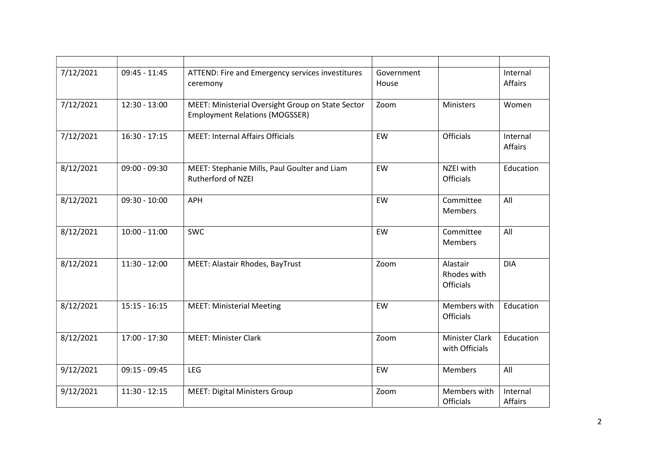| 7/12/2021 | $09:45 - 11:45$ | ATTEND: Fire and Emergency services investitures<br>ceremony                               | Government<br>House |                                             | Internal<br>Affairs |
|-----------|-----------------|--------------------------------------------------------------------------------------------|---------------------|---------------------------------------------|---------------------|
| 7/12/2021 | $12:30 - 13:00$ | MEET: Ministerial Oversight Group on State Sector<br><b>Employment Relations (MOGSSER)</b> | Zoom                | Ministers                                   | Women               |
| 7/12/2021 | $16:30 - 17:15$ | <b>MEET: Internal Affairs Officials</b>                                                    | EW                  | <b>Officials</b>                            | Internal<br>Affairs |
| 8/12/2021 | $09:00 - 09:30$ | MEET: Stephanie Mills, Paul Goulter and Liam<br>Rutherford of NZEI                         | EW                  | NZEI with<br><b>Officials</b>               | Education           |
| 8/12/2021 | $09:30 - 10:00$ | <b>APH</b>                                                                                 | EW                  | Committee<br><b>Members</b>                 | All                 |
| 8/12/2021 | $10:00 - 11:00$ | <b>SWC</b>                                                                                 | EW                  | Committee<br><b>Members</b>                 | All                 |
| 8/12/2021 | $11:30 - 12:00$ | MEET: Alastair Rhodes, BayTrust                                                            | Zoom                | Alastair<br>Rhodes with<br><b>Officials</b> | <b>DIA</b>          |
| 8/12/2021 | $15:15 - 16:15$ | <b>MEET: Ministerial Meeting</b>                                                           | EW                  | Members with<br><b>Officials</b>            | Education           |
| 8/12/2021 | $17:00 - 17:30$ | <b>MEET: Minister Clark</b>                                                                | Zoom                | <b>Minister Clark</b><br>with Officials     | Education           |
| 9/12/2021 | $09:15 - 09:45$ | LEG                                                                                        | EW                  | Members                                     | All                 |
| 9/12/2021 | $11:30 - 12:15$ | <b>MEET: Digital Ministers Group</b>                                                       | Zoom                | Members with<br><b>Officials</b>            | Internal<br>Affairs |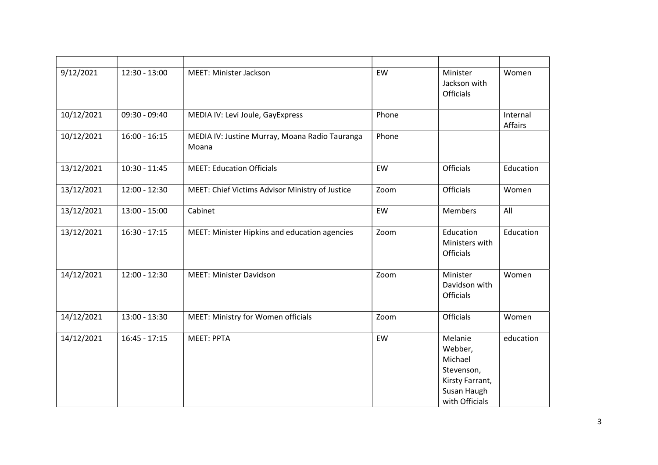| 9/12/2021  | $12:30 - 13:00$ | MEET: Minister Jackson                                  | EW    | Minister<br>Jackson with<br><b>Officials</b>                                                    | Women               |
|------------|-----------------|---------------------------------------------------------|-------|-------------------------------------------------------------------------------------------------|---------------------|
| 10/12/2021 | $09:30 - 09:40$ | MEDIA IV: Levi Joule, GayExpress                        | Phone |                                                                                                 | Internal<br>Affairs |
| 10/12/2021 | $16:00 - 16:15$ | MEDIA IV: Justine Murray, Moana Radio Tauranga<br>Moana | Phone |                                                                                                 |                     |
| 13/12/2021 | $10:30 - 11:45$ | <b>MEET: Education Officials</b>                        | EW    | Officials                                                                                       | Education           |
| 13/12/2021 | $12:00 - 12:30$ | MEET: Chief Victims Advisor Ministry of Justice         | Zoom  | <b>Officials</b>                                                                                | Women               |
| 13/12/2021 | $13:00 - 15:00$ | Cabinet                                                 | EW    | <b>Members</b>                                                                                  | All                 |
| 13/12/2021 | $16:30 - 17:15$ | MEET: Minister Hipkins and education agencies           | Zoom  | Education<br>Ministers with<br>Officials                                                        | Education           |
| 14/12/2021 | $12:00 - 12:30$ | <b>MEET: Minister Davidson</b>                          | Zoom  | Minister<br>Davidson with<br>Officials                                                          | Women               |
| 14/12/2021 | $13:00 - 13:30$ | MEET: Ministry for Women officials                      | Zoom  | <b>Officials</b>                                                                                | Women               |
| 14/12/2021 | $16:45 - 17:15$ | <b>MEET: PPTA</b>                                       | EW    | Melanie<br>Webber,<br>Michael<br>Stevenson,<br>Kirsty Farrant,<br>Susan Haugh<br>with Officials | education           |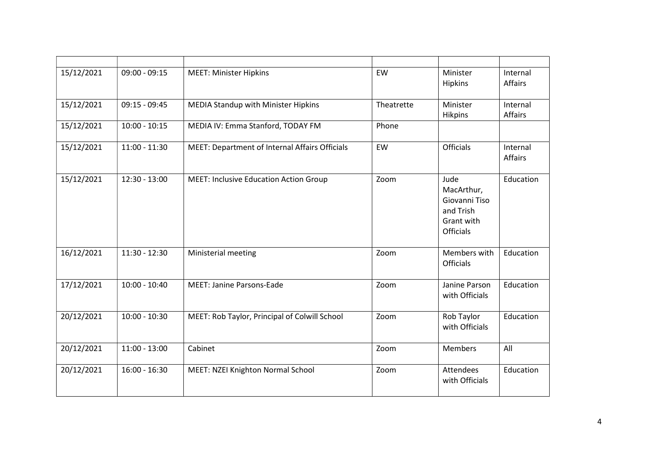| 15/12/2021 | $09:00 - 09:15$ | <b>MEET: Minister Hipkins</b>                  | EW         | Minister<br><b>Hipkins</b>                                                         | Internal<br>Affairs |
|------------|-----------------|------------------------------------------------|------------|------------------------------------------------------------------------------------|---------------------|
| 15/12/2021 | $09:15 - 09:45$ | <b>MEDIA Standup with Minister Hipkins</b>     | Theatrette | Minister<br><b>Hikpins</b>                                                         | Internal<br>Affairs |
| 15/12/2021 | $10:00 - 10:15$ | MEDIA IV: Emma Stanford, TODAY FM              | Phone      |                                                                                    |                     |
| 15/12/2021 | $11:00 - 11:30$ | MEET: Department of Internal Affairs Officials | EW         | <b>Officials</b>                                                                   | Internal<br>Affairs |
| 15/12/2021 | $12:30 - 13:00$ | <b>MEET: Inclusive Education Action Group</b>  | Zoom       | Jude<br>MacArthur,<br>Giovanni Tiso<br>and Trish<br>Grant with<br><b>Officials</b> | Education           |
| 16/12/2021 | $11:30 - 12:30$ | Ministerial meeting                            | Zoom       | Members with<br><b>Officials</b>                                                   | Education           |
| 17/12/2021 | $10:00 - 10:40$ | <b>MEET: Janine Parsons-Eade</b>               | Zoom       | Janine Parson<br>with Officials                                                    | Education           |
| 20/12/2021 | $10:00 - 10:30$ | MEET: Rob Taylor, Principal of Colwill School  | Zoom       | Rob Taylor<br>with Officials                                                       | Education           |
| 20/12/2021 | $11:00 - 13:00$ | Cabinet                                        | Zoom       | Members                                                                            | All                 |
| 20/12/2021 | $16:00 - 16:30$ | MEET: NZEI Knighton Normal School              | Zoom       | Attendees<br>with Officials                                                        | Education           |